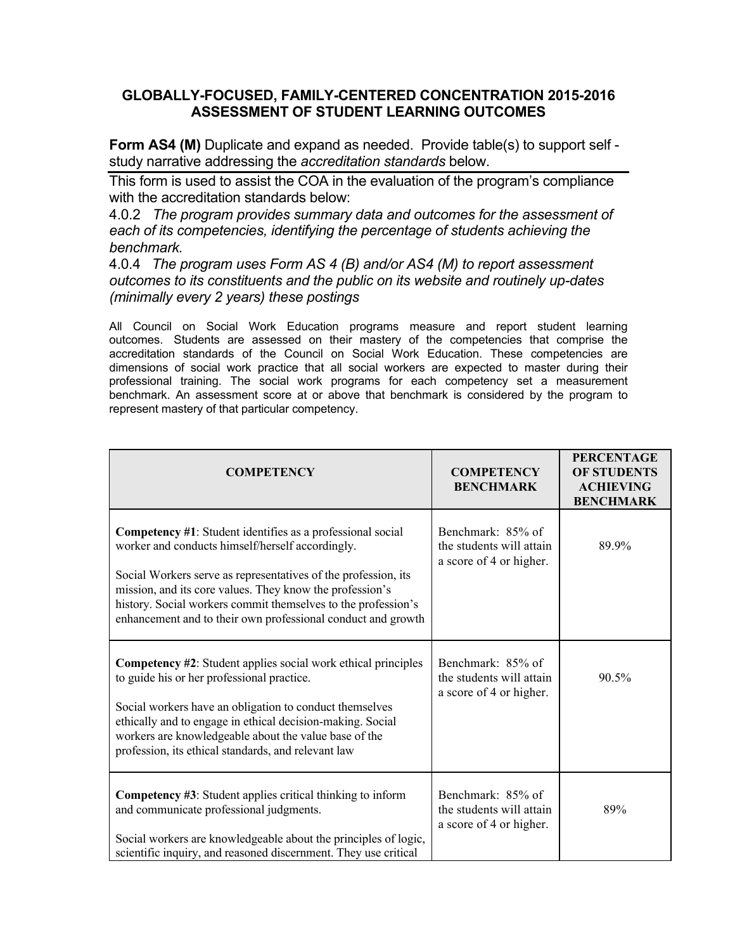## **GLOBALLY-FOCUSED, FAMILY-CENTERED CONCENTRATION 2015-2016 ASSESSMENT OF STUDENT LEARNING OUTCOMES**

**Form AS4 (M)** Duplicate and expand as needed. Provide table(s) to support self study narrative addressing the *accreditation standards* below.

This form is used to assist the COA in the evaluation of the program's compliance with the accreditation standards below:

4.0.2 *The program provides summary data and outcomes for the assessment of each of its competencies, identifying the percentage of students achieving the benchmark.*

4.0.4 *The program uses Form AS 4 (B) and/or AS4 (M) to report assessment outcomes to its constituents and the public on its website and routinely up-dates (minimally every 2 years) these postings*

All Council on Social Work Education programs measure and report student learning outcomes. Students are assessed on their mastery of the competencies that comprise the accreditation standards of the Council on Social Work Education. These competencies are dimensions of social work practice that all social workers are expected to master during their professional training. The social work programs for each competency set a measurement benchmark. An assessment score at or above that benchmark is considered by the program to represent mastery of that particular competency.

| <b>COMPETENCY</b>                                                                                                                                                                                                                                                                                                                                                             | <b>COMPETENCY</b><br><b>BENCHMARK</b>                                    | <b>PERCENTAGE</b><br><b>OF STUDENTS</b><br><b>ACHIEVING</b><br><b>BENCHMARK</b> |
|-------------------------------------------------------------------------------------------------------------------------------------------------------------------------------------------------------------------------------------------------------------------------------------------------------------------------------------------------------------------------------|--------------------------------------------------------------------------|---------------------------------------------------------------------------------|
| Competency #1: Student identifies as a professional social<br>worker and conducts himself/herself accordingly.<br>Social Workers serve as representatives of the profession, its<br>mission, and its core values. They know the profession's<br>history. Social workers commit themselves to the profession's<br>enhancement and to their own professional conduct and growth | Benchmark: 85% of<br>the students will attain<br>a score of 4 or higher. | 89.9%                                                                           |
| <b>Competency #2:</b> Student applies social work ethical principles<br>to guide his or her professional practice.<br>Social workers have an obligation to conduct themselves<br>ethically and to engage in ethical decision-making. Social<br>workers are knowledgeable about the value base of the<br>profession, its ethical standards, and relevant law                   | Benchmark: 85% of<br>the students will attain<br>a score of 4 or higher. | 90.5%                                                                           |
| <b>Competency #3:</b> Student applies critical thinking to inform<br>and communicate professional judgments.<br>Social workers are knowledgeable about the principles of logic,<br>scientific inquiry, and reasoned discernment. They use critical                                                                                                                            | Benchmark: 85% of<br>the students will attain<br>a score of 4 or higher. | 89%                                                                             |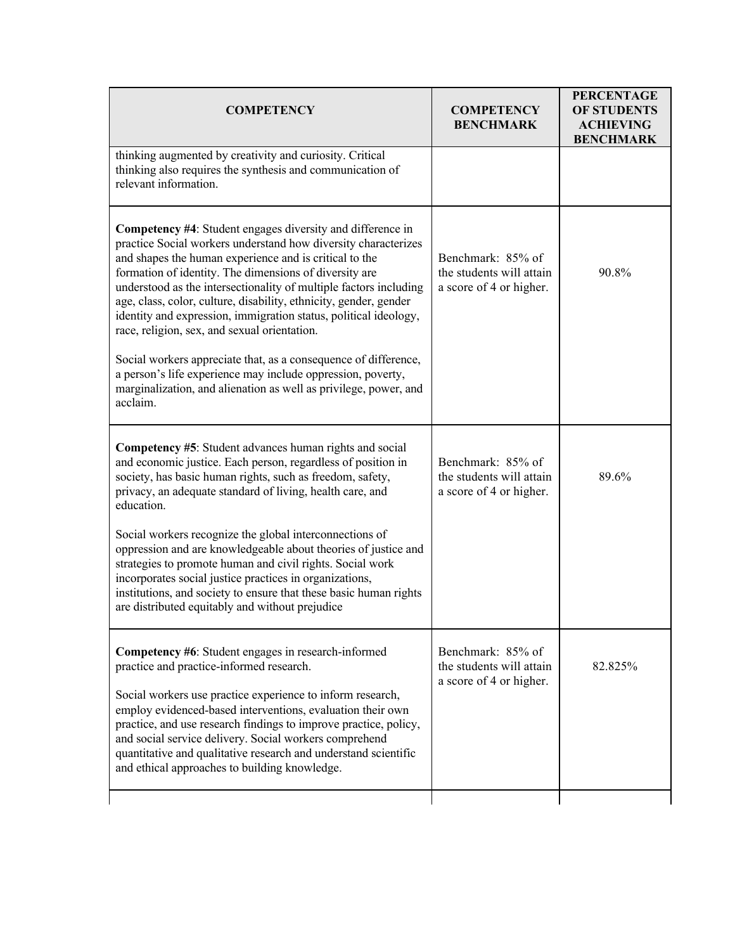| <b>COMPETENCY</b><br><b>BENCHMARK</b>                                                                                                                                                                   | <b>PERCENTAGE</b><br><b>OF STUDENTS</b><br><b>ACHIEVING</b><br><b>BENCHMARK</b> |
|---------------------------------------------------------------------------------------------------------------------------------------------------------------------------------------------------------|---------------------------------------------------------------------------------|
|                                                                                                                                                                                                         |                                                                                 |
| Benchmark: 85% of<br>the students will attain<br>a score of 4 or higher.                                                                                                                                | 90.8%                                                                           |
|                                                                                                                                                                                                         |                                                                                 |
| Benchmark: 85% of<br>the students will attain<br>a score of 4 or higher.                                                                                                                                | 89.6%                                                                           |
|                                                                                                                                                                                                         |                                                                                 |
| Benchmark: 85% of<br>the students will attain<br>a score of 4 or higher.                                                                                                                                | 82.825%                                                                         |
| understood as the intersectionality of multiple factors including<br>marginalization, and alienation as well as privilege, power, and<br>oppression and are knowledgeable about theories of justice and |                                                                                 |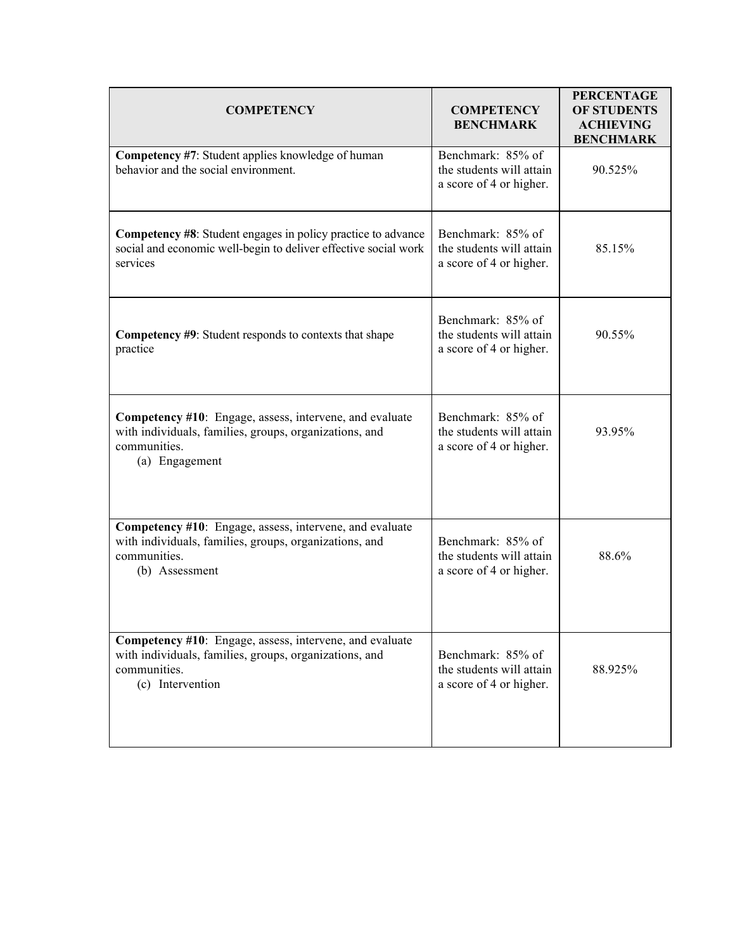| <b>COMPETENCY</b>                                                                                                                                     | <b>COMPETENCY</b><br><b>BENCHMARK</b>                                    | <b>PERCENTAGE</b><br><b>OF STUDENTS</b><br><b>ACHIEVING</b><br><b>BENCHMARK</b> |
|-------------------------------------------------------------------------------------------------------------------------------------------------------|--------------------------------------------------------------------------|---------------------------------------------------------------------------------|
| Competency #7: Student applies knowledge of human<br>behavior and the social environment.                                                             | Benchmark: 85% of<br>the students will attain<br>a score of 4 or higher. | 90.525%                                                                         |
| <b>Competency #8:</b> Student engages in policy practice to advance<br>social and economic well-begin to deliver effective social work<br>services    | Benchmark: 85% of<br>the students will attain<br>a score of 4 or higher. | 85.15%                                                                          |
| <b>Competency #9:</b> Student responds to contexts that shape<br>practice                                                                             | Benchmark: 85% of<br>the students will attain<br>a score of 4 or higher. | 90.55%                                                                          |
| Competency #10: Engage, assess, intervene, and evaluate<br>with individuals, families, groups, organizations, and<br>communities.<br>(a) Engagement   | Benchmark: 85% of<br>the students will attain<br>a score of 4 or higher. | 93.95%                                                                          |
| Competency #10: Engage, assess, intervene, and evaluate<br>with individuals, families, groups, organizations, and<br>communities.<br>(b) Assessment   | Benchmark: 85% of<br>the students will attain<br>a score of 4 or higher. | 88.6%                                                                           |
| Competency #10: Engage, assess, intervene, and evaluate<br>with individuals, families, groups, organizations, and<br>communities.<br>(c) Intervention | Benchmark: 85% of<br>the students will attain<br>a score of 4 or higher. | 88.925%                                                                         |